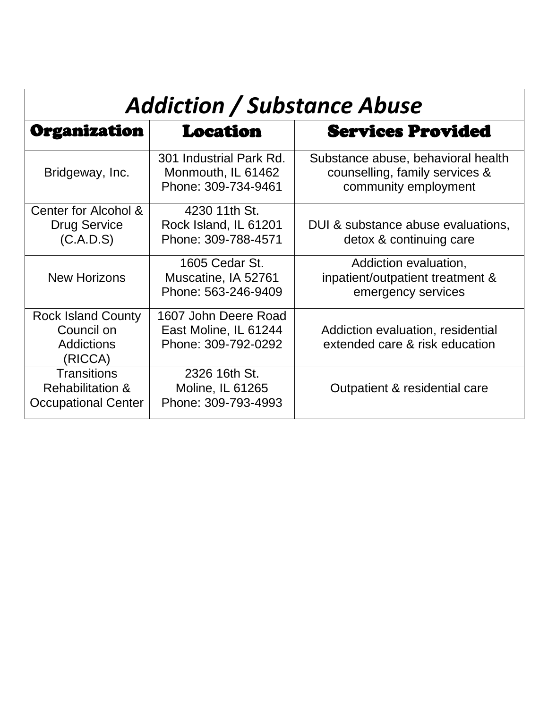| <b>Addiction / Substance Abuse</b>                                              |                                                                                                                                             |                                                                                              |  |
|---------------------------------------------------------------------------------|---------------------------------------------------------------------------------------------------------------------------------------------|----------------------------------------------------------------------------------------------|--|
| Organization                                                                    | <b>Location</b>                                                                                                                             | <b>Services Provided</b>                                                                     |  |
| Bridgeway, Inc.                                                                 | 301 Industrial Park Rd.<br>Monmouth, IL 61462<br>Phone: 309-734-9461                                                                        | Substance abuse, behavioral health<br>counselling, family services &<br>community employment |  |
| Center for Alcohol &<br><b>Drug Service</b><br>(C.A.D.S)                        | 4230 11th St.<br>Rock Island, IL 61201<br>Phone: 309-788-4571                                                                               | DUI & substance abuse evaluations,<br>detox & continuing care                                |  |
| <b>New Horizons</b>                                                             | 1605 Cedar St.<br>Muscatine, IA 52761<br>Phone: 563-246-9409                                                                                | Addiction evaluation,<br>inpatient/outpatient treatment &<br>emergency services              |  |
| <b>Rock Island County</b><br>Council on<br><b>Addictions</b><br>(RICCA)         | 1607 John Deere Road<br>East Moline, IL 61244<br>Addiction evaluation, residential<br>Phone: 309-792-0292<br>extended care & risk education |                                                                                              |  |
| <b>Transitions</b><br><b>Rehabilitation &amp;</b><br><b>Occupational Center</b> | 2326 16th St.<br><b>Moline, IL 61265</b><br>Outpatient & residential care<br>Phone: 309-793-4993                                            |                                                                                              |  |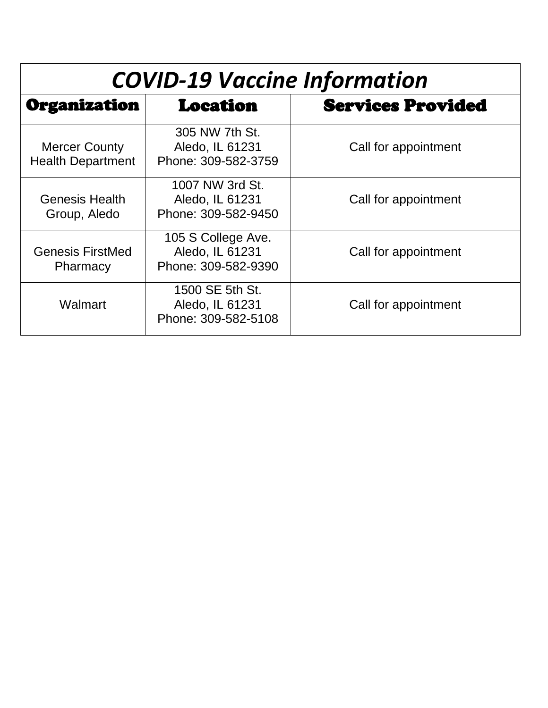| <b>COVID-19 Vaccine Information</b>              |                                                                                      |                          |
|--------------------------------------------------|--------------------------------------------------------------------------------------|--------------------------|
| Organization                                     | <b>Location</b>                                                                      | <b>Services Provided</b> |
| <b>Mercer County</b><br><b>Health Department</b> | 305 NW 7th St.<br>Aledo, IL 61231<br>Phone: 309-582-3759                             | Call for appointment     |
| <b>Genesis Health</b><br>Group, Aledo            | 1007 NW 3rd St.<br>Aledo, IL 61231<br>Phone: 309-582-9450                            | Call for appointment     |
| <b>Genesis FirstMed</b><br>Pharmacy              | 105 S College Ave.<br>Aledo, IL 61231<br>Call for appointment<br>Phone: 309-582-9390 |                          |
| Walmart                                          | 1500 SE 5th St.<br>Aledo, IL 61231<br>Phone: 309-582-5108                            | Call for appointment     |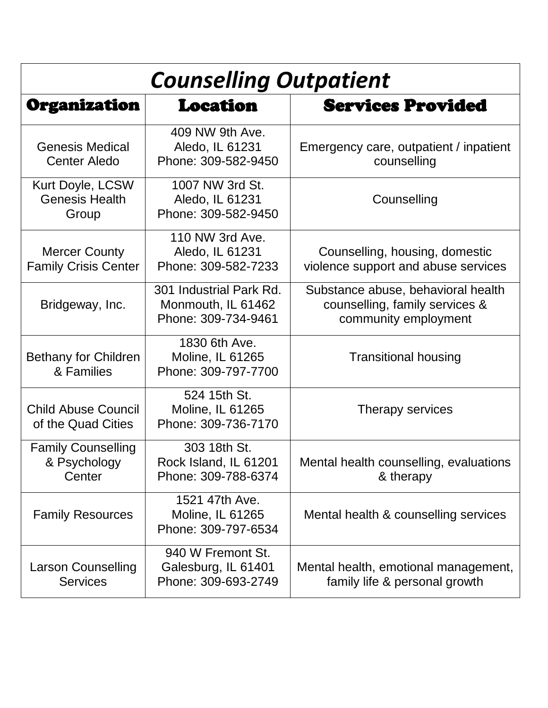| <b>Counselling Outpatient</b>                       |                                                                                                   |                                                                                              |
|-----------------------------------------------------|---------------------------------------------------------------------------------------------------|----------------------------------------------------------------------------------------------|
| Organization                                        | <b>Location</b>                                                                                   | <b>Services Provided</b>                                                                     |
| <b>Genesis Medical</b><br><b>Center Aledo</b>       | 409 NW 9th Ave.<br>Aledo, IL 61231<br>Phone: 309-582-9450                                         | Emergency care, outpatient / inpatient<br>counselling                                        |
| Kurt Doyle, LCSW<br><b>Genesis Health</b><br>Group  | 1007 NW 3rd St.<br>Aledo, IL 61231<br>Counselling<br>Phone: 309-582-9450                          |                                                                                              |
| <b>Mercer County</b><br><b>Family Crisis Center</b> | 110 NW 3rd Ave.<br>Aledo, IL 61231<br>Phone: 309-582-7233                                         | Counselling, housing, domestic<br>violence support and abuse services                        |
| Bridgeway, Inc.                                     | 301 Industrial Park Rd.<br>Monmouth, IL 61462<br>Phone: 309-734-9461                              | Substance abuse, behavioral health<br>counselling, family services &<br>community employment |
| <b>Bethany for Children</b><br>& Families           | 1830 6th Ave.<br>Moline, IL 61265<br>Phone: 309-797-7700                                          | <b>Transitional housing</b>                                                                  |
| <b>Child Abuse Council</b><br>of the Quad Cities    | 524 15th St.<br>Moline, IL 61265<br>Therapy services<br>Phone: 309-736-7170                       |                                                                                              |
| <b>Family Counselling</b><br>& Psychology<br>Center | 303 18th St.<br>Rock Island, IL 61201<br>Phone: 309-788-6374                                      | Mental health counselling, evaluations<br>& therapy                                          |
| <b>Family Resources</b>                             | 1521 47th Ave.<br>Moline, IL 61265<br>Mental health & counselling services<br>Phone: 309-797-6534 |                                                                                              |
| <b>Larson Counselling</b><br><b>Services</b>        | 940 W Fremont St.<br>Galesburg, IL 61401<br>Phone: 309-693-2749                                   | Mental health, emotional management,<br>family life & personal growth                        |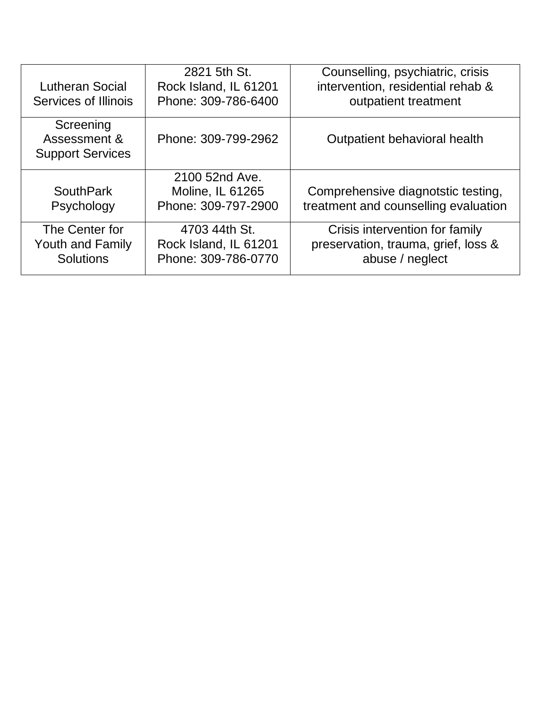| <b>Lutheran Social</b><br>Services of Illinois                | 2821 5th St.<br>Rock Island, IL 61201<br>Phone: 309-786-6400  | Counselling, psychiatric, crisis<br>intervention, residential rehab &<br>outpatient treatment |
|---------------------------------------------------------------|---------------------------------------------------------------|-----------------------------------------------------------------------------------------------|
| Screening<br>Assessment &<br><b>Support Services</b>          | Phone: 309-799-2962                                           | Outpatient behavioral health                                                                  |
| <b>SouthPark</b><br>Psychology                                | 2100 52nd Ave.<br>Moline, IL 61265<br>Phone: 309-797-2900     | Comprehensive diagnotstic testing,<br>treatment and counselling evaluation                    |
| The Center for<br><b>Youth and Family</b><br><b>Solutions</b> | 4703 44th St.<br>Rock Island, IL 61201<br>Phone: 309-786-0770 | Crisis intervention for family<br>preservation, trauma, grief, loss &<br>abuse / neglect      |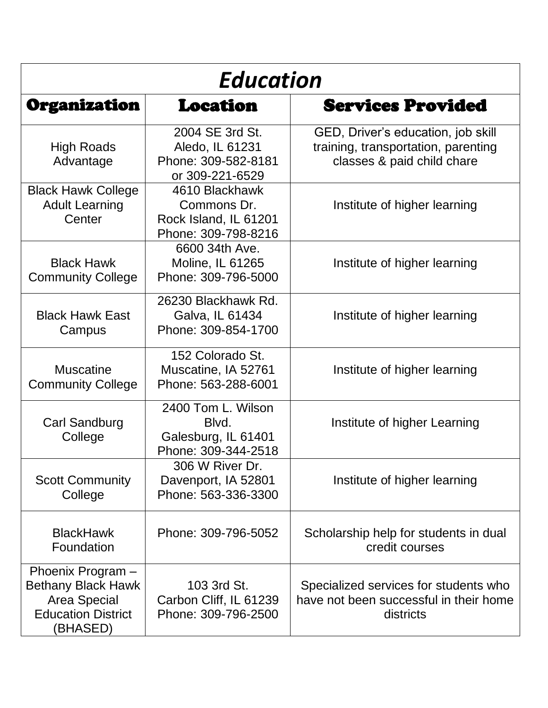| <b>Education</b>                                                                                        |                                                                               |                                                                                                         |
|---------------------------------------------------------------------------------------------------------|-------------------------------------------------------------------------------|---------------------------------------------------------------------------------------------------------|
| Organization                                                                                            | Location                                                                      | <b>Services Provided</b>                                                                                |
| <b>High Roads</b><br>Advantage                                                                          | 2004 SE 3rd St.<br>Aledo, IL 61231<br>Phone: 309-582-8181<br>or 309-221-6529  | GED, Driver's education, job skill<br>training, transportation, parenting<br>classes & paid child chare |
| <b>Black Hawk College</b><br><b>Adult Learning</b><br>Center                                            | 4610 Blackhawk<br>Commons Dr.<br>Rock Island, IL 61201<br>Phone: 309-798-8216 | Institute of higher learning                                                                            |
| <b>Black Hawk</b><br><b>Community College</b>                                                           | 6600 34th Ave.<br>Moline, IL 61265<br>Phone: 309-796-5000                     | Institute of higher learning                                                                            |
| <b>Black Hawk East</b><br>Campus                                                                        | 26230 Blackhawk Rd.<br>Galva, IL 61434<br>Phone: 309-854-1700                 | Institute of higher learning                                                                            |
| <b>Muscatine</b><br><b>Community College</b>                                                            | 152 Colorado St.<br>Muscatine, IA 52761<br>Phone: 563-288-6001                | Institute of higher learning                                                                            |
| Carl Sandburg<br>College                                                                                | 2400 Tom L. Wilson<br>Blvd.<br>Galesburg, IL 61401<br>Phone: 309-344-2518     | Institute of higher Learning                                                                            |
| <b>Scott Community</b><br>College                                                                       | 306 W River Dr.<br>Davenport, IA 52801<br>Phone: 563-336-3300                 | Institute of higher learning                                                                            |
| <b>BlackHawk</b><br>Foundation                                                                          | Phone: 309-796-5052                                                           | Scholarship help for students in dual<br>credit courses                                                 |
| Phoenix Program -<br><b>Bethany Black Hawk</b><br>Area Special<br><b>Education District</b><br>(BHASED) | 103 3rd St.<br>Carbon Cliff, IL 61239<br>Phone: 309-796-2500                  | Specialized services for students who<br>have not been successful in their home<br>districts            |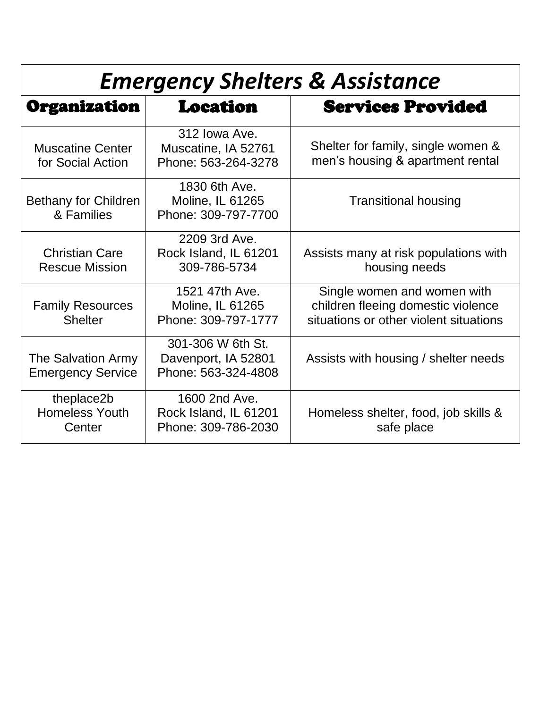| <b>Emergency Shelters &amp; Assistance</b>            |                                                                                                         |                                                                                                             |
|-------------------------------------------------------|---------------------------------------------------------------------------------------------------------|-------------------------------------------------------------------------------------------------------------|
| Organization                                          | <b>Location</b>                                                                                         | <b>Services Provided</b>                                                                                    |
| <b>Muscatine Center</b><br>for Social Action          | 312 Iowa Ave.<br>Muscatine, IA 52761<br>Phone: 563-264-3278                                             | Shelter for family, single women &<br>men's housing & apartment rental                                      |
| <b>Bethany for Children</b><br>& Families             | 1830 6th Ave.<br>Moline, IL 61265<br><b>Transitional housing</b><br>Phone: 309-797-7700                 |                                                                                                             |
| <b>Christian Care</b><br><b>Rescue Mission</b>        | 2209 3rd Ave.<br>Rock Island, IL 61201<br>309-786-5734                                                  | Assists many at risk populations with<br>housing needs                                                      |
| <b>Family Resources</b><br><b>Shelter</b>             | 1521 47th Ave.<br>Moline, IL 61265<br>Phone: 309-797-1777                                               | Single women and women with<br>children fleeing domestic violence<br>situations or other violent situations |
| <b>The Salvation Army</b><br><b>Emergency Service</b> | 301-306 W 6th St.<br>Davenport, IA 52801<br>Assists with housing / shelter needs<br>Phone: 563-324-4808 |                                                                                                             |
| theplace2b<br><b>Homeless Youth</b><br>Center         | 1600 2nd Ave.<br>Rock Island, IL 61201<br>Phone: 309-786-2030                                           | Homeless shelter, food, job skills &<br>safe place                                                          |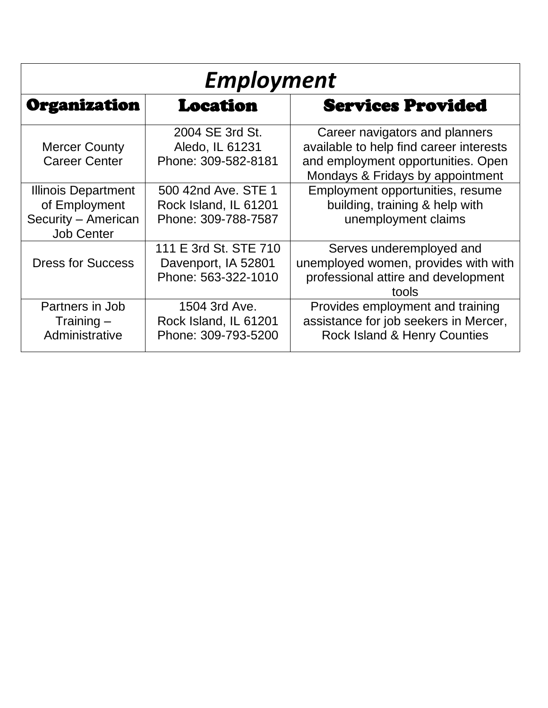| <b>Employment</b>                                                                       |                                                                     |                                                                                                                                                     |
|-----------------------------------------------------------------------------------------|---------------------------------------------------------------------|-----------------------------------------------------------------------------------------------------------------------------------------------------|
| Organization<br><b>Location</b>                                                         |                                                                     | <b>Services Provided</b>                                                                                                                            |
| <b>Mercer County</b><br><b>Career Center</b>                                            | 2004 SE 3rd St.<br>Aledo, IL 61231<br>Phone: 309-582-8181           | Career navigators and planners<br>available to help find career interests<br>and employment opportunities. Open<br>Mondays & Fridays by appointment |
| <b>Illinois Department</b><br>of Employment<br>Security - American<br><b>Job Center</b> | 500 42nd Ave. STE 1<br>Rock Island, IL 61201<br>Phone: 309-788-7587 | Employment opportunities, resume<br>building, training & help with<br>unemployment claims                                                           |
| <b>Dress for Success</b>                                                                | 111 E 3rd St. STE 710<br>Davenport, IA 52801<br>Phone: 563-322-1010 | Serves underemployed and<br>unemployed women, provides with with<br>professional attire and development<br>tools                                    |
| Partners in Job<br>Training $-$<br>Administrative                                       | 1504 3rd Ave.<br>Rock Island, IL 61201<br>Phone: 309-793-5200       | Provides employment and training<br>assistance for job seekers in Mercer,<br><b>Rock Island &amp; Henry Counties</b>                                |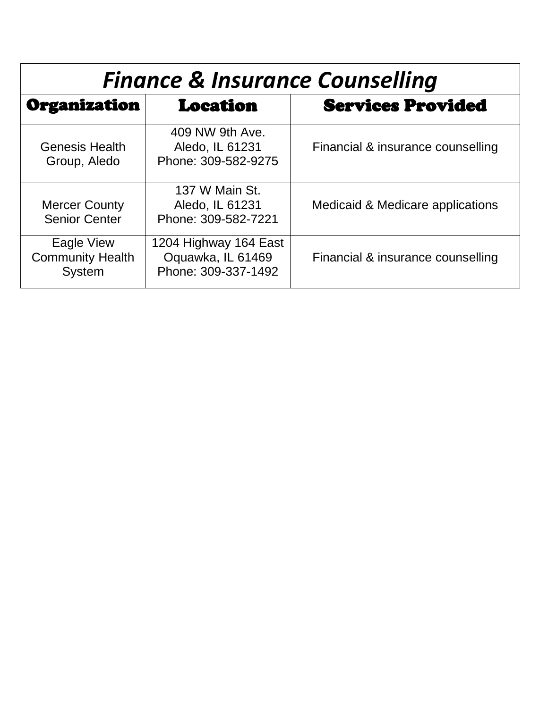| <b>Finance &amp; Insurance Counselling</b>             |                                                                   |                                   |  |
|--------------------------------------------------------|-------------------------------------------------------------------|-----------------------------------|--|
| Organization                                           | <b>Location</b>                                                   | <b>Services Provided</b>          |  |
| <b>Genesis Health</b><br>Group, Aledo                  | 409 NW 9th Ave.<br>Aledo, IL 61231<br>Phone: 309-582-9275         | Financial & insurance counselling |  |
| <b>Mercer County</b><br><b>Senior Center</b>           | 137 W Main St.<br>Aledo, IL 61231<br>Phone: 309-582-7221          | Medicaid & Medicare applications  |  |
| Eagle View<br><b>Community Health</b><br><b>System</b> | 1204 Highway 164 East<br>Oquawka, IL 61469<br>Phone: 309-337-1492 | Financial & insurance counselling |  |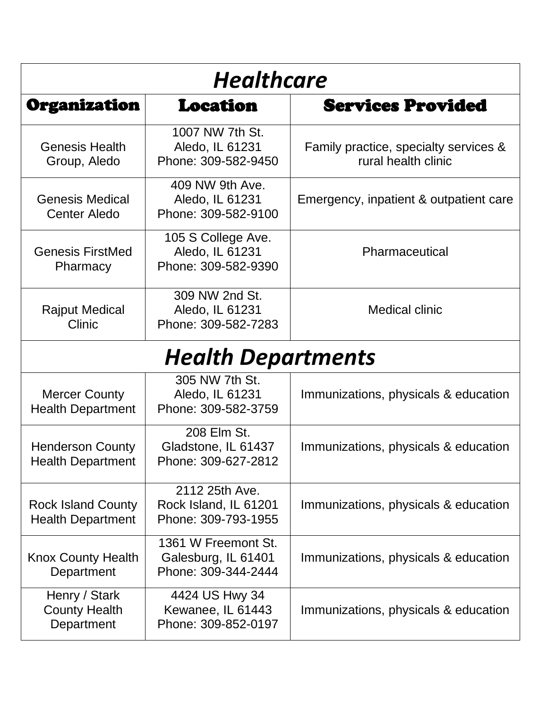| <b>Healthcare</b>                                     |                                                                   |                                                              |
|-------------------------------------------------------|-------------------------------------------------------------------|--------------------------------------------------------------|
| Organization                                          | <b>Location</b>                                                   | <b>Services Provided</b>                                     |
| <b>Genesis Health</b><br>Group, Aledo                 | 1007 NW 7th St.<br>Aledo, IL 61231<br>Phone: 309-582-9450         | Family practice, specialty services &<br>rural health clinic |
| <b>Genesis Medical</b><br><b>Center Aledo</b>         | 409 NW 9th Ave.<br>Aledo, IL 61231<br>Phone: 309-582-9100         | Emergency, inpatient & outpatient care                       |
| <b>Genesis FirstMed</b><br>Pharmacy                   | 105 S College Ave.<br>Aledo, IL 61231<br>Phone: 309-582-9390      | Pharmaceutical                                               |
| <b>Rajput Medical</b><br>Clinic                       | 309 NW 2nd St.<br>Aledo, IL 61231<br>Phone: 309-582-7283          | <b>Medical clinic</b>                                        |
|                                                       | <b>Health Departments</b>                                         |                                                              |
| <b>Mercer County</b><br><b>Health Department</b>      | 305 NW 7th St.<br>Aledo, IL 61231<br>Phone: 309-582-3759          | Immunizations, physicals & education                         |
| <b>Henderson County</b><br><b>Health Department</b>   | 208 Elm St.<br>Gladstone, IL 61437<br>Phone: 309-627-2812         | Immunizations, physicals & education                         |
| <b>Rock Island County</b><br><b>Health Department</b> | 2112 25th Ave.<br>Rock Island, IL 61201<br>Phone: 309-793-1955    | Immunizations, physicals & education                         |
| <b>Knox County Health</b><br>Department               | 1361 W Freemont St.<br>Galesburg, IL 61401<br>Phone: 309-344-2444 | Immunizations, physicals & education                         |
| Henry / Stark<br><b>County Health</b><br>Department   | 4424 US Hwy 34<br>Kewanee, IL 61443<br>Phone: 309-852-0197        | Immunizations, physicals & education                         |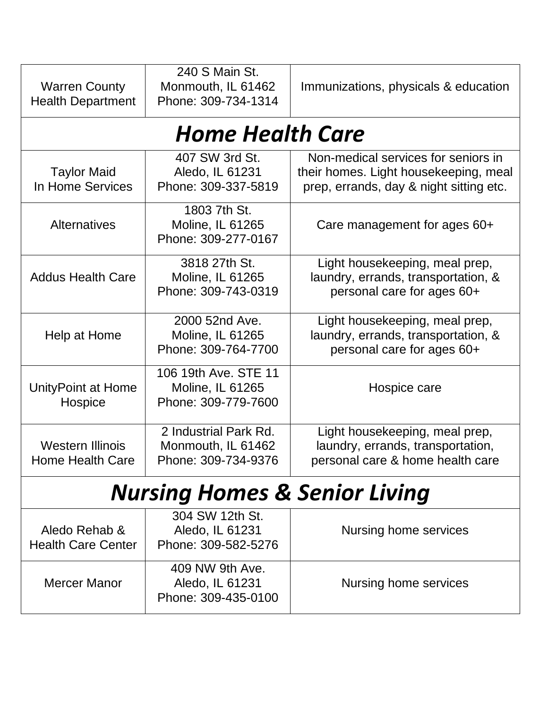| 240 S Main St.<br><b>Warren County</b><br>Monmouth, IL 61462<br>Phone: 309-734-1314<br><b>Health Department</b> |                                                                                    | Immunizations, physicals & education                                                                                    |
|-----------------------------------------------------------------------------------------------------------------|------------------------------------------------------------------------------------|-------------------------------------------------------------------------------------------------------------------------|
|                                                                                                                 | <b>Home Health Care</b>                                                            |                                                                                                                         |
| <b>Taylor Maid</b><br>In Home Services                                                                          | 407 SW 3rd St.<br>Aledo, IL 61231<br>Phone: 309-337-5819                           | Non-medical services for seniors in<br>their homes. Light housekeeping, meal<br>prep, errands, day & night sitting etc. |
| <b>Alternatives</b>                                                                                             | 1803 7th St.<br>Moline, IL 61265<br>Phone: 309-277-0167                            | Care management for ages 60+                                                                                            |
| <b>Addus Health Care</b>                                                                                        | 3818 27th St.<br><b>Moline, IL 61265</b><br>Phone: 309-743-0319                    | Light housekeeping, meal prep,<br>laundry, errands, transportation, &<br>personal care for ages 60+                     |
| Help at Home                                                                                                    | 2000 52nd Ave.<br>Moline, IL 61265<br>Phone: 309-764-7700                          | Light housekeeping, meal prep,<br>laundry, errands, transportation, &<br>personal care for ages 60+                     |
| UnityPoint at Home<br>Hospice                                                                                   | 106 19th Ave. STE 11<br>Moline, IL 61265<br>Phone: 309-779-7600                    | Hospice care                                                                                                            |
| <b>Western Illinois</b><br>Home Health Care                                                                     | 2 Industrial Park Rd.<br>Monmouth, IL 61462<br>Phone: 309-734-9376                 | Light housekeeping, meal prep,<br>laundry, errands, transportation,<br>personal care & home health care                 |
| <b>Nursing Homes &amp; Senior Living</b>                                                                        |                                                                                    |                                                                                                                         |
| Aledo Rehab &<br><b>Health Care Center</b>                                                                      | 304 SW 12th St.<br>Aledo, IL 61231<br>Phone: 309-582-5276                          | Nursing home services                                                                                                   |
| <b>Mercer Manor</b>                                                                                             | 409 NW 9th Ave.<br>Aledo, IL 61231<br>Nursing home services<br>Phone: 309-435-0100 |                                                                                                                         |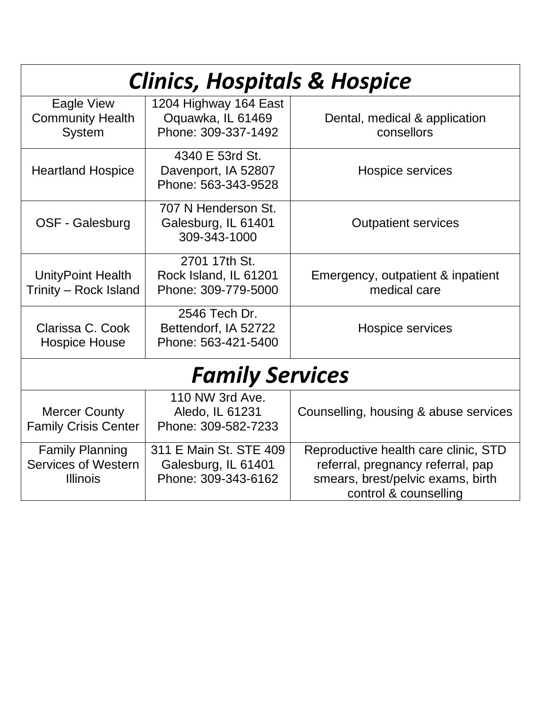| <b>Clinics, Hospitals &amp; Hospice</b> |                        |                                       |
|-----------------------------------------|------------------------|---------------------------------------|
| Eagle View                              | 1204 Highway 164 East  |                                       |
| <b>Community Health</b>                 | Oquawka, IL 61469      | Dental, medical & application         |
| <b>System</b>                           | Phone: 309-337-1492    | consellors                            |
|                                         | 4340 E 53rd St.        |                                       |
| <b>Heartland Hospice</b>                | Davenport, IA 52807    | Hospice services                      |
|                                         | Phone: 563-343-9528    |                                       |
|                                         | 707 N Henderson St.    |                                       |
| OSF - Galesburg                         | Galesburg, IL 61401    | <b>Outpatient services</b>            |
|                                         | 309-343-1000           |                                       |
|                                         | 2701 17th St.          |                                       |
| <b>UnityPoint Health</b>                | Rock Island, IL 61201  | Emergency, outpatient & inpatient     |
| Trinity - Rock Island                   | Phone: 309-779-5000    | medical care                          |
|                                         | 2546 Tech Dr.          |                                       |
| Clarissa C. Cook                        | Bettendorf, IA 52722   | Hospice services                      |
| <b>Hospice House</b>                    | Phone: 563-421-5400    |                                       |
| <b>Family Services</b>                  |                        |                                       |
|                                         | 110 NW 3rd Ave.        |                                       |
| <b>Mercer County</b>                    | Aledo, IL 61231        | Counselling, housing & abuse services |
| <b>Family Crisis Center</b>             | Phone: 309-582-7233    |                                       |
| <b>Family Planning</b>                  | 311 E Main St. STE 409 | Reproductive health care clinic, STD  |
| <b>Services of Western</b>              | Galesburg, IL 61401    | referral, pregnancy referral, pap     |
| <b>Illinois</b>                         | Phone: 309-343-6162    | smears, brest/pelvic exams, birth     |
|                                         |                        | control & counselling                 |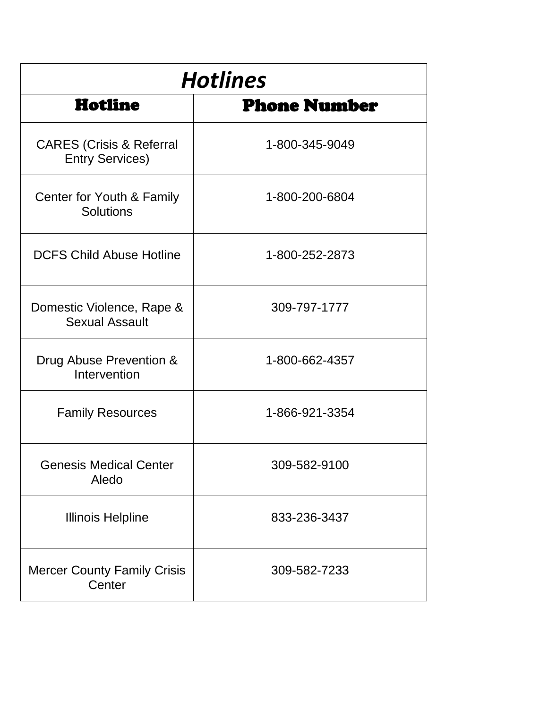| <b>Hotlines</b>                                           |                     |  |
|-----------------------------------------------------------|---------------------|--|
| Hotline                                                   | <b>Phone Number</b> |  |
| <b>CARES</b> (Crisis & Referral<br><b>Entry Services)</b> | 1-800-345-9049      |  |
| Center for Youth & Family<br><b>Solutions</b>             | 1-800-200-6804      |  |
| <b>DCFS Child Abuse Hotline</b>                           | 1-800-252-2873      |  |
| Domestic Violence, Rape &<br><b>Sexual Assault</b>        | 309-797-1777        |  |
| Drug Abuse Prevention &<br>Intervention                   | 1-800-662-4357      |  |
| <b>Family Resources</b>                                   | 1-866-921-3354      |  |
| <b>Genesis Medical Center</b><br>Aledo                    | 309-582-9100        |  |
| <b>Illinois Helpline</b>                                  | 833-236-3437        |  |
| <b>Mercer County Family Crisis</b><br>Center              | 309-582-7233        |  |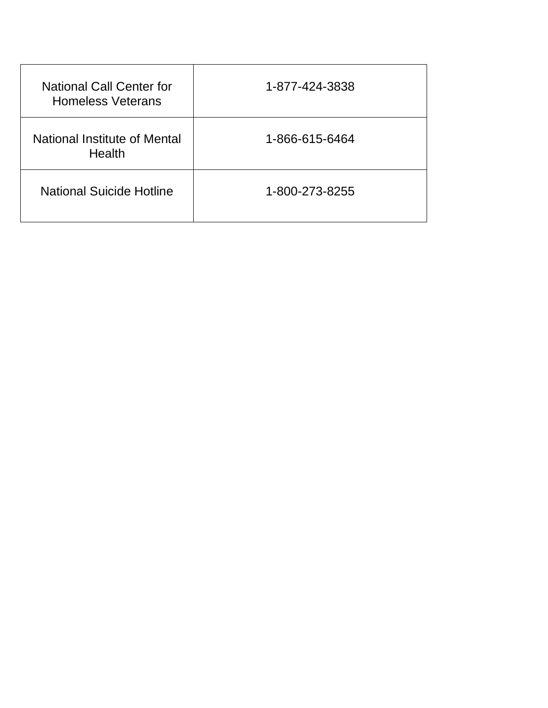| <b>National Call Center for</b><br><b>Homeless Veterans</b> | 1-877-424-3838 |
|-------------------------------------------------------------|----------------|
| National Institute of Mental<br><b>Health</b>               | 1-866-615-6464 |
| <b>National Suicide Hotline</b>                             | 1-800-273-8255 |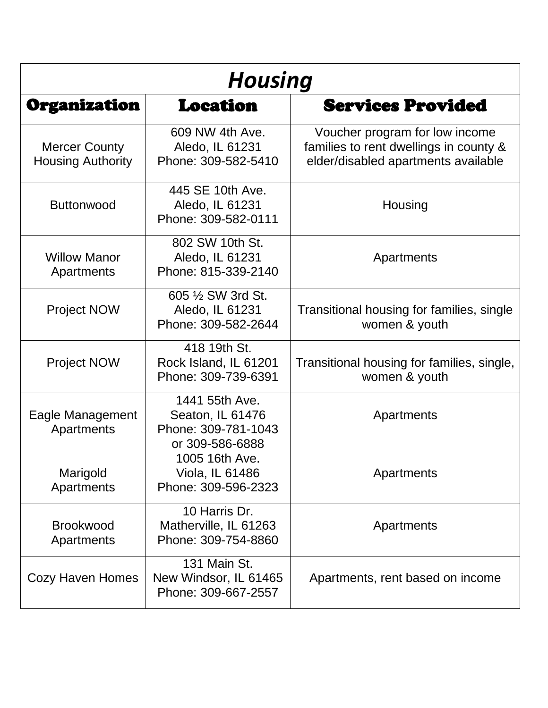| <b>Housing</b>                                   |                                                                              |                                                                                                                 |
|--------------------------------------------------|------------------------------------------------------------------------------|-----------------------------------------------------------------------------------------------------------------|
| Organization                                     | <b>Location</b>                                                              | <b>Services Provided</b>                                                                                        |
| <b>Mercer County</b><br><b>Housing Authority</b> | 609 NW 4th Ave.<br>Aledo, IL 61231<br>Phone: 309-582-5410                    | Voucher program for low income<br>families to rent dwellings in county &<br>elder/disabled apartments available |
| <b>Buttonwood</b>                                | 445 SE 10th Ave.<br>Aledo, IL 61231<br>Phone: 309-582-0111                   | Housing                                                                                                         |
| <b>Willow Manor</b><br>Apartments                | 802 SW 10th St.<br>Aledo, IL 61231<br>Phone: 815-339-2140                    | Apartments                                                                                                      |
| <b>Project NOW</b>                               | 605 1/2 SW 3rd St.<br>Aledo, IL 61231<br>Phone: 309-582-2644                 | Transitional housing for families, single<br>women & youth                                                      |
| <b>Project NOW</b>                               | 418 19th St.<br>Rock Island, IL 61201<br>Phone: 309-739-6391                 | Transitional housing for families, single,<br>women & youth                                                     |
| Eagle Management<br>Apartments                   | 1441 55th Ave.<br>Seaton, IL 61476<br>Phone: 309-781-1043<br>or 309-586-6888 | Apartments                                                                                                      |
| Marigold<br>Apartments                           | 1005 16th Ave<br>Viola, IL 61486<br>Phone: 309-596-2323                      | Apartments                                                                                                      |
| <b>Brookwood</b><br>Apartments                   | 10 Harris Dr.<br>Matherville, IL 61263<br>Phone: 309-754-8860                | Apartments                                                                                                      |
| <b>Cozy Haven Homes</b>                          | 131 Main St.<br>New Windsor, IL 61465<br>Phone: 309-667-2557                 | Apartments, rent based on income                                                                                |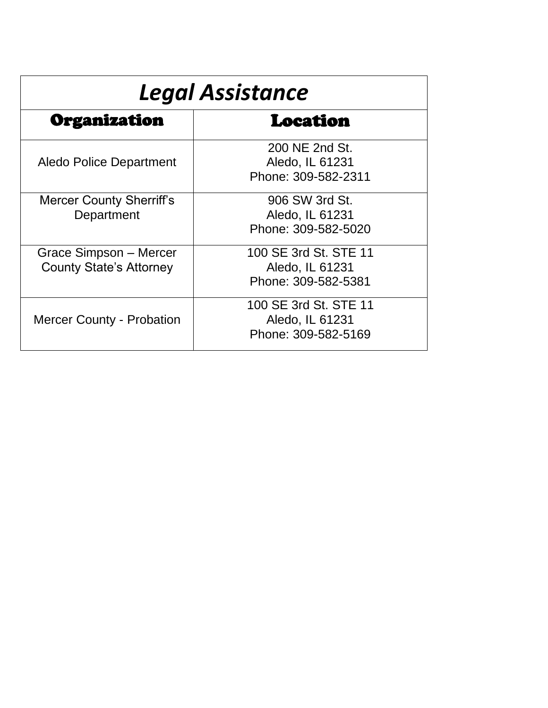| <b>Legal Assistance</b>                                  |                                                                 |  |
|----------------------------------------------------------|-----------------------------------------------------------------|--|
| Organization                                             | Location                                                        |  |
| <b>Aledo Police Department</b>                           | 200 NE 2nd St.<br>Aledo, IL 61231<br>Phone: 309-582-2311        |  |
| <b>Mercer County Sherriff's</b><br>Department            | 906 SW 3rd St.<br>Aledo, IL 61231<br>Phone: 309-582-5020        |  |
| Grace Simpson - Mercer<br><b>County State's Attorney</b> | 100 SE 3rd St. STE 11<br>Aledo, IL 61231<br>Phone: 309-582-5381 |  |
| <b>Mercer County - Probation</b>                         | 100 SE 3rd St. STE 11<br>Aledo, IL 61231<br>Phone: 309-582-5169 |  |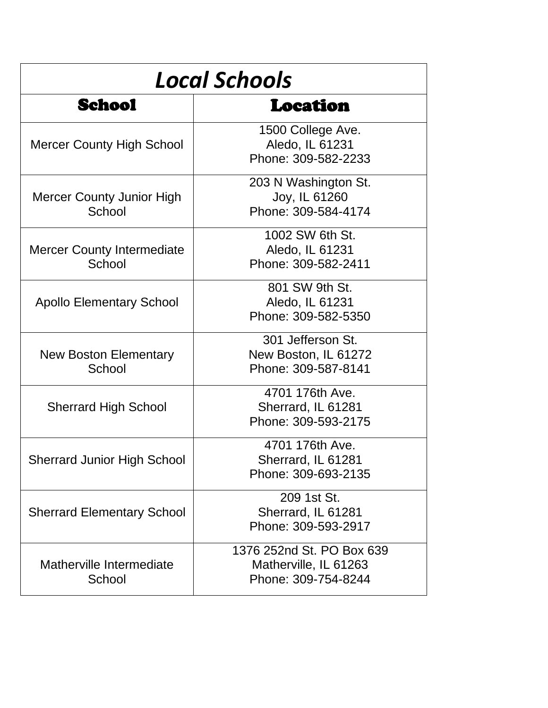| <b>Local Schools</b>                        |                                                                           |  |
|---------------------------------------------|---------------------------------------------------------------------------|--|
| School                                      | Location                                                                  |  |
| <b>Mercer County High School</b>            | 1500 College Ave.<br>Aledo, IL 61231<br>Phone: 309-582-2233               |  |
| <b>Mercer County Junior High</b><br>School  | 203 N Washington St.<br>Joy, IL 61260<br>Phone: 309-584-4174              |  |
| <b>Mercer County Intermediate</b><br>School | 1002 SW 6th St.<br>Aledo, IL 61231<br>Phone: 309-582-2411                 |  |
| <b>Apollo Elementary School</b>             | 801 SW 9th St.<br>Aledo, IL 61231<br>Phone: 309-582-5350                  |  |
| New Boston Elementary<br>School             | 301 Jefferson St.<br>New Boston, IL 61272<br>Phone: 309-587-8141          |  |
| <b>Sherrard High School</b>                 | 4701 176th Ave.<br>Sherrard, IL 61281<br>Phone: 309-593-2175              |  |
| <b>Sherrard Junior High School</b>          | 4701 176th Ave.<br>Sherrard, IL 61281<br>Phone: 309-693-2135              |  |
| <b>Sherrard Elementary School</b>           | 209 1st St.<br>Sherrard, IL 61281<br>Phone: 309-593-2917                  |  |
| Matherville Intermediate<br>School          | 1376 252nd St. PO Box 639<br>Matherville, IL 61263<br>Phone: 309-754-8244 |  |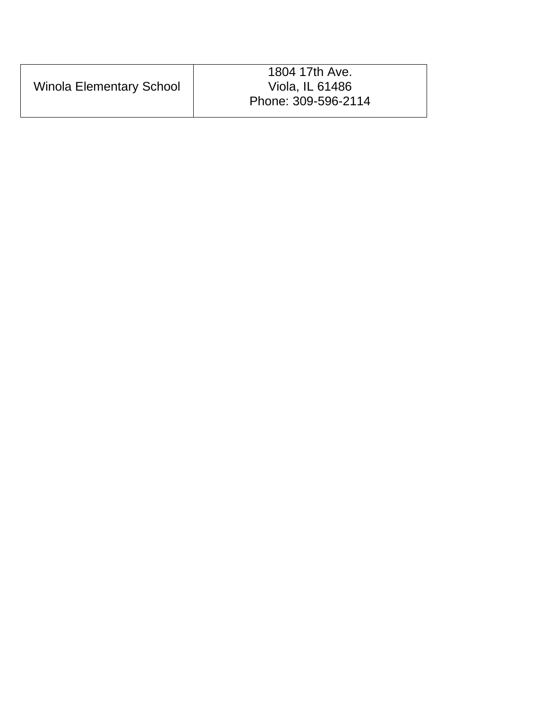|                                 | 1804 17th Ave.      |
|---------------------------------|---------------------|
| <b>Winola Elementary School</b> | Viola, IL 61486     |
|                                 | Phone: 309-596-2114 |
|                                 |                     |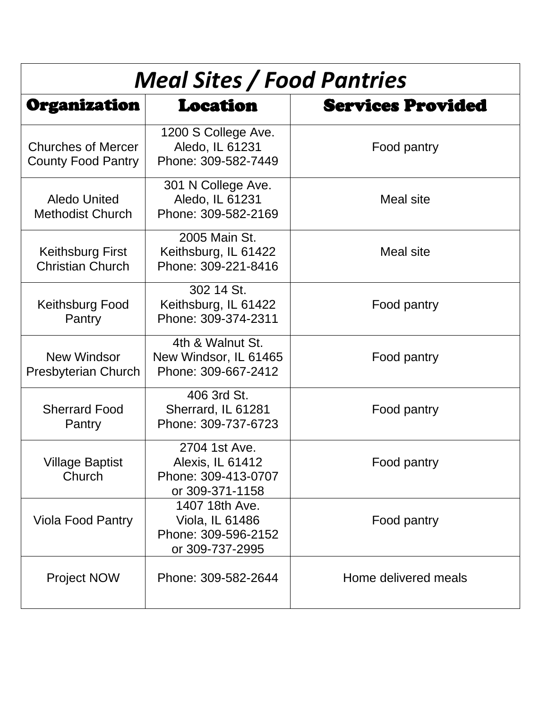| <b>Meal Sites / Food Pantries</b>                      |                                                                             |                          |
|--------------------------------------------------------|-----------------------------------------------------------------------------|--------------------------|
| Organization                                           | Location                                                                    | <b>Services Provided</b> |
| <b>Churches of Mercer</b><br><b>County Food Pantry</b> | 1200 S College Ave.<br>Aledo, IL 61231<br>Phone: 309-582-7449               | Food pantry              |
| <b>Aledo United</b><br><b>Methodist Church</b>         | 301 N College Ave.<br>Aledo, IL 61231<br>Phone: 309-582-2169                | <b>Meal site</b>         |
| <b>Keithsburg First</b><br><b>Christian Church</b>     | 2005 Main St.<br>Keithsburg, IL 61422<br>Phone: 309-221-8416                | <b>Meal site</b>         |
| <b>Keithsburg Food</b><br>Pantry                       | 302 14 St.<br>Keithsburg, IL 61422<br>Phone: 309-374-2311                   | Food pantry              |
| New Windsor<br><b>Presbyterian Church</b>              | 4th & Walnut St.<br>New Windsor, IL 61465<br>Phone: 309-667-2412            | Food pantry              |
| <b>Sherrard Food</b><br>Pantry                         | 406 3rd St.<br>Sherrard, IL 61281<br>Phone: 309-737-6723                    | Food pantry              |
| <b>Village Baptist</b><br>Church                       | 2704 1st Ave.<br>Alexis, IL 61412<br>Phone: 309-413-0707<br>or 309-371-1158 | Food pantry              |
| <b>Viola Food Pantry</b>                               | 1407 18th Ave.<br>Viola, IL 61486<br>Phone: 309-596-2152<br>or 309-737-2995 | Food pantry              |
| Project NOW                                            | Phone: 309-582-2644                                                         | Home delivered meals     |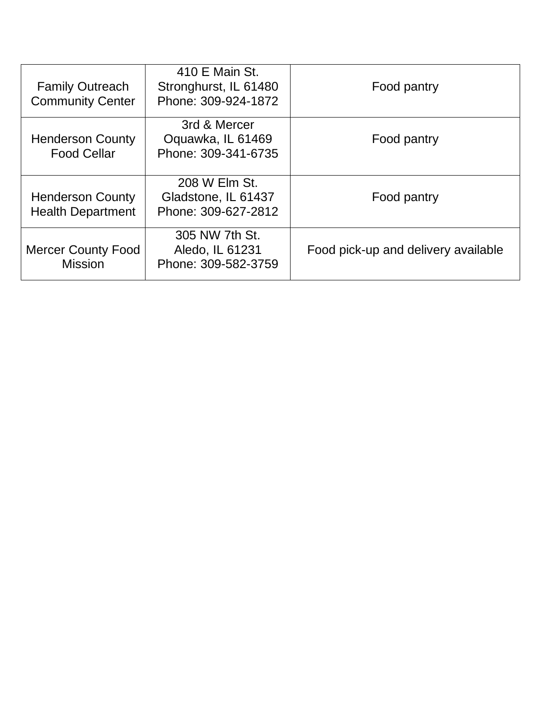| <b>Mercer County Food</b><br><b>Mission</b>         | 305 NW 7th St.<br>Aledo, IL 61231<br>Phone: 309-582-3759       | Food pick-up and delivery available |
|-----------------------------------------------------|----------------------------------------------------------------|-------------------------------------|
| <b>Henderson County</b><br><b>Health Department</b> | 208 W Elm St.<br>Gladstone, IL 61437<br>Phone: 309-627-2812    | Food pantry                         |
| <b>Henderson County</b><br><b>Food Cellar</b>       | 3rd & Mercer<br>Oquawka, IL 61469<br>Phone: 309-341-6735       | Food pantry                         |
| <b>Family Outreach</b><br><b>Community Center</b>   | 410 E Main St.<br>Stronghurst, IL 61480<br>Phone: 309-924-1872 | Food pantry                         |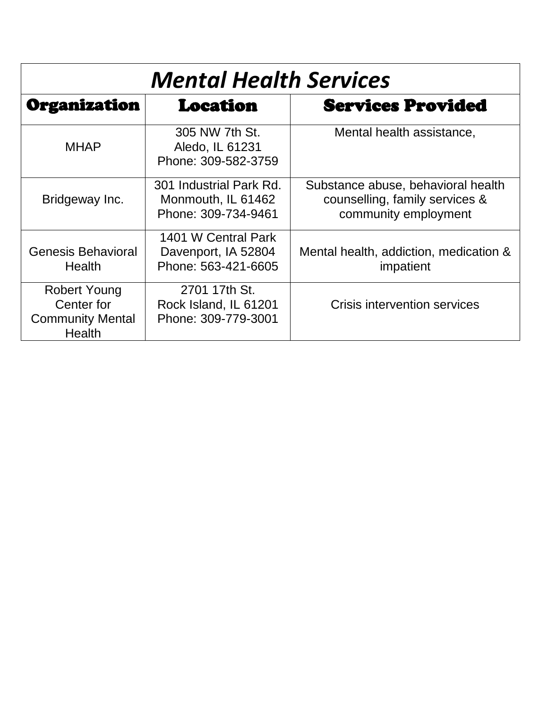| <b>Mental Health Services</b>                                                 |                                                                      |                                                                                              |
|-------------------------------------------------------------------------------|----------------------------------------------------------------------|----------------------------------------------------------------------------------------------|
| Organization                                                                  | Location                                                             | <b>Services Provided</b>                                                                     |
| <b>MHAP</b>                                                                   | 305 NW 7th St.<br>Aledo, IL 61231<br>Phone: 309-582-3759             | Mental health assistance,                                                                    |
| Bridgeway Inc.                                                                | 301 Industrial Park Rd.<br>Monmouth, IL 61462<br>Phone: 309-734-9461 | Substance abuse, behavioral health<br>counselling, family services &<br>community employment |
| Genesis Behavioral<br>Health                                                  | 1401 W Central Park<br>Davenport, IA 52804<br>Phone: 563-421-6605    | Mental health, addiction, medication &<br>impatient                                          |
| <b>Robert Young</b><br>Center for<br><b>Community Mental</b><br><b>Health</b> | 2701 17th St.<br>Rock Island, IL 61201<br>Phone: 309-779-3001        | Crisis intervention services                                                                 |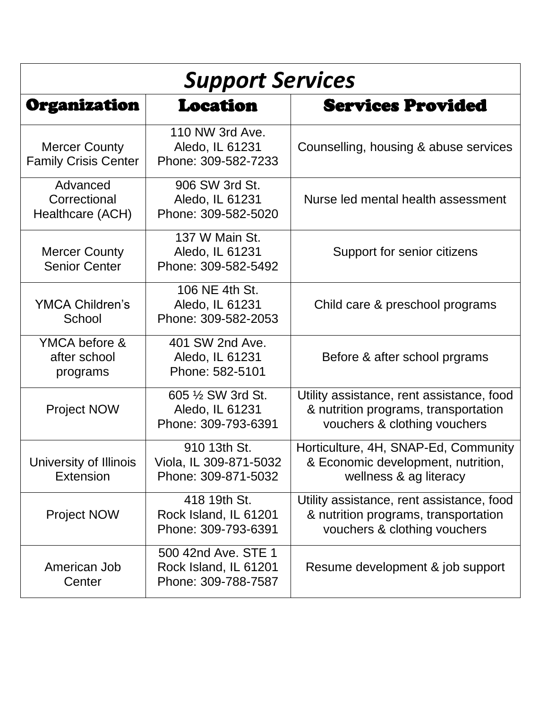| <b>Support Services</b>                             |                                                                     |                                                                                                                   |
|-----------------------------------------------------|---------------------------------------------------------------------|-------------------------------------------------------------------------------------------------------------------|
| Organization                                        | Location                                                            | <b>Services Provided</b>                                                                                          |
| <b>Mercer County</b><br><b>Family Crisis Center</b> | 110 NW 3rd Ave.<br>Aledo, IL 61231<br>Phone: 309-582-7233           | Counselling, housing & abuse services                                                                             |
| Advanced<br>Correctional<br>Healthcare (ACH)        | 906 SW 3rd St.<br>Aledo, IL 61231<br>Phone: 309-582-5020            | Nurse led mental health assessment                                                                                |
| <b>Mercer County</b><br><b>Senior Center</b>        | 137 W Main St.<br>Aledo, IL 61231<br>Phone: 309-582-5492            | Support for senior citizens                                                                                       |
| <b>YMCA Children's</b><br>School                    | 106 NE 4th St.<br>Aledo, IL 61231<br>Phone: 309-582-2053            | Child care & preschool programs                                                                                   |
| YMCA before &<br>after school<br>programs           | 401 SW 2nd Ave.<br>Aledo, IL 61231<br>Phone: 582-5101               | Before & after school prgrams                                                                                     |
| <b>Project NOW</b>                                  | 605 1/2 SW 3rd St.<br>Aledo, IL 61231<br>Phone: 309-793-6391        | Utility assistance, rent assistance, food<br>& nutrition programs, transportation<br>vouchers & clothing vouchers |
| University of Illinois<br><b>Extension</b>          | 910 13th St.<br>Viola, IL 309-871-5032<br>Phone: 309-871-5032       | Horticulture, 4H, SNAP-Ed, Community<br>& Economic development, nutrition,<br>wellness & ag literacy              |
| <b>Project NOW</b>                                  | 418 19th St.<br>Rock Island, IL 61201<br>Phone: 309-793-6391        | Utility assistance, rent assistance, food<br>& nutrition programs, transportation<br>vouchers & clothing vouchers |
| American Job<br>Center                              | 500 42nd Ave. STE 1<br>Rock Island, IL 61201<br>Phone: 309-788-7587 | Resume development & job support                                                                                  |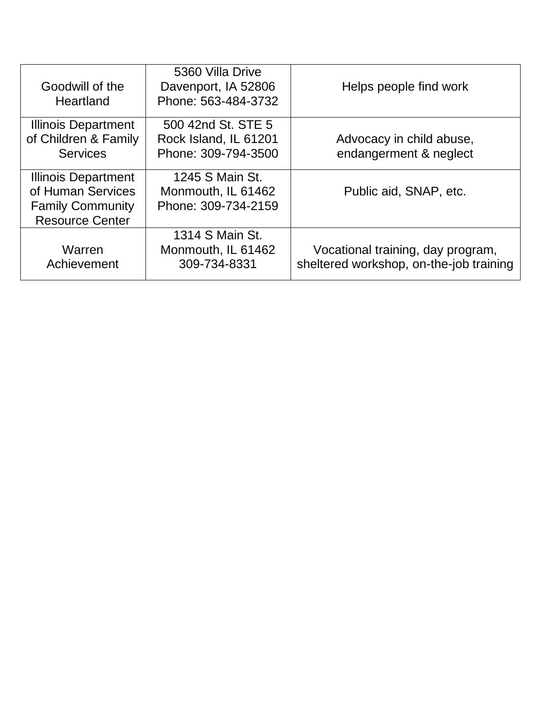| Goodwill of the<br>Heartland                                                                         | 5360 Villa Drive<br>Davenport, IA 52806<br>Phone: 563-484-3732     | Helps people find work                                                       |
|------------------------------------------------------------------------------------------------------|--------------------------------------------------------------------|------------------------------------------------------------------------------|
| <b>Illinois Department</b><br>of Children & Family<br><b>Services</b>                                | 500 42nd St. STE 5<br>Rock Island, IL 61201<br>Phone: 309-794-3500 | Advocacy in child abuse,<br>endangerment & neglect                           |
| <b>Illinois Department</b><br>of Human Services<br><b>Family Community</b><br><b>Resource Center</b> | 1245 S Main St.<br>Monmouth, IL 61462<br>Phone: 309-734-2159       | Public aid, SNAP, etc.                                                       |
| Warren<br>Achievement                                                                                | 1314 S Main St.<br>Monmouth, IL 61462<br>309-734-8331              | Vocational training, day program,<br>sheltered workshop, on-the-job training |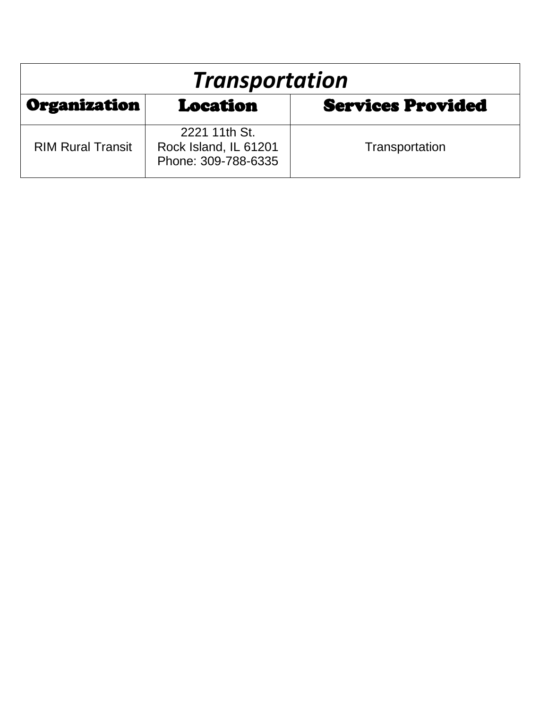| <b>Transportation</b>                                |                                                               |                |
|------------------------------------------------------|---------------------------------------------------------------|----------------|
| Organization<br><b>Services Provided</b><br>Location |                                                               |                |
| <b>RIM Rural Transit</b>                             | 2221 11th St.<br>Rock Island, IL 61201<br>Phone: 309-788-6335 | Transportation |